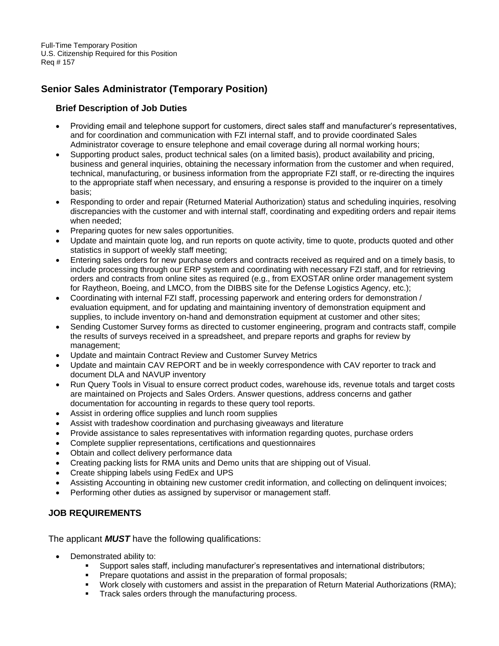Full-Time Temporary Position U.S. Citizenship Required for this Position Req # 157

# **Senior Sales Administrator (Temporary Position)**

# **Brief Description of Job Duties**

- Providing email and telephone support for customers, direct sales staff and manufacturer's representatives, and for coordination and communication with FZI internal staff, and to provide coordinated Sales Administrator coverage to ensure telephone and email coverage during all normal working hours;
- Supporting product sales, product technical sales (on a limited basis), product availability and pricing, business and general inquiries, obtaining the necessary information from the customer and when required, technical, manufacturing, or business information from the appropriate FZI staff, or re-directing the inquires to the appropriate staff when necessary, and ensuring a response is provided to the inquirer on a timely basis;
- Responding to order and repair (Returned Material Authorization) status and scheduling inquiries, resolving discrepancies with the customer and with internal staff, coordinating and expediting orders and repair items when needed;
- Preparing quotes for new sales opportunities.
- Update and maintain quote log, and run reports on quote activity, time to quote, products quoted and other statistics in support of weekly staff meeting;
- Entering sales orders for new purchase orders and contracts received as required and on a timely basis, to include processing through our ERP system and coordinating with necessary FZI staff, and for retrieving orders and contracts from online sites as required (e.g., from EXOSTAR online order management system for Raytheon, Boeing, and LMCO, from the DIBBS site for the Defense Logistics Agency, etc.);
- Coordinating with internal FZI staff, processing paperwork and entering orders for demonstration / evaluation equipment, and for updating and maintaining inventory of demonstration equipment and supplies, to include inventory on-hand and demonstration equipment at customer and other sites;
- Sending Customer Survey forms as directed to customer engineering, program and contracts staff, compile the results of surveys received in a spreadsheet, and prepare reports and graphs for review by management;
- Update and maintain Contract Review and Customer Survey Metrics
- Update and maintain CAV REPORT and be in weekly correspondence with CAV reporter to track and document DLA and NAVUP inventory
- Run Query Tools in Visual to ensure correct product codes, warehouse ids, revenue totals and target costs are maintained on Projects and Sales Orders. Answer questions, address concerns and gather documentation for accounting in regards to these query tool reports.
- Assist in ordering office supplies and lunch room supplies
- Assist with tradeshow coordination and purchasing giveaways and literature
- Provide assistance to sales representatives with information regarding quotes, purchase orders
- Complete supplier representations, certifications and questionnaires
- Obtain and collect delivery performance data
- Creating packing lists for RMA units and Demo units that are shipping out of Visual.
- Create shipping labels using FedEx and UPS
- Assisting Accounting in obtaining new customer credit information, and collecting on delinquent invoices;
- Performing other duties as assigned by supervisor or management staff.

## **JOB REQUIREMENTS**

The applicant *MUST* have the following qualifications:

- Demonstrated ability to:
	- Support sales staff, including manufacturer's representatives and international distributors;
	- Prepare quotations and assist in the preparation of formal proposals;
	- Work closely with customers and assist in the preparation of Return Material Authorizations (RMA);
	- Track sales orders through the manufacturing process.